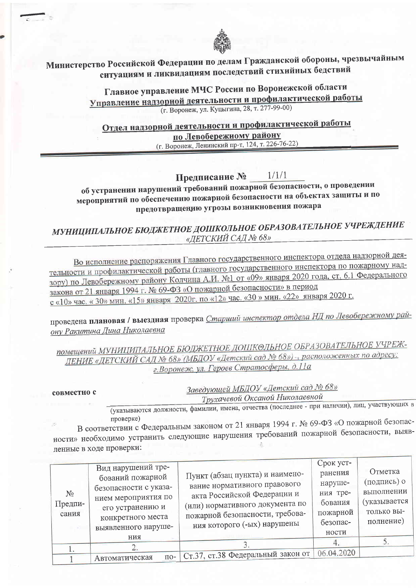

## Министерство Российской Федерации по делам Гражданской обороны, чрезвычайным ситуациям и ликвидациям последствий стихийных бедствий

Главное управление МЧС России по Воронежской области Управление надзорной деятельности и профилактической работы (г. Воронеж, ул. Куцыгина, 28, т. 277-99-00)

Отдел надзорной деятельности и профилактической работы по Левобережному району

(г. Воронеж, Ленинский пр-т, 124, т. 226-76-22)

 $1/1/1$ Предписание №

об устранении нарушений требований пожарной безопасности, о проведении мероприятий по обеспечению пожарной безопасности на объектах защиты и по предотвращению угрозы возникновения пожара

МУНИЦИПАЛЬНОЕ БЮДЖЕТНОЕ ДОШКОЛЬНОЕ ОБРАЗОВАТЕЛЬНОЕ УЧРЕЖДЕНИЕ «ДЕТСКИЙ САД № 68»

Во исполнение распоряжения Главного государственного инспектора отдела надзорной деятельности и профилактической работы (главного государственного инспектора по пожарному надзору) по Левобережному району Колчина А.И. №1 от «09» января 2020 года, ст. 6.1 Федерального закона от 21 января 1994 г. № 69-ФЗ «О пожарной безопасности» в период с «10» час. «30» мин. «15» января 2020г. по «12» час. «30» мин. «22» января 2020 г.

проведена плановая / выездная проверка Старший инспектор отдела НД по Левобережному району Ракитина Дина Николаевна

помещений МУНИЦИПАЛЬНОЕ БЮДЖЕТНОЕ ДОШКОЛЬНОЕ ОБРАЗОВАТЕЛЬНОЕ УЧРЕЖ-ДЕНИЕ «ДЕТСКИЙ САД № 68» (МБДОУ «Детский сад № 68») -, расположенных по адресу: г. Воронеж, ул. Героев Стратосферы, д.11а

совместно с

Заведующей МБДОУ «Детский сад № 68»

Трухачевой Оксаной Николаевной

(указываются должности, фамилии, имена, отчества (последнее - при наличии), лиц, участвующих в проверке)

В соответствии с Федеральным законом от 21 января 1994 г. № 69-ФЗ «О пожарной безопасности» необходимо устранить следующие нарушения требований пожарной безопасности, выявленные в ходе проверки:

| $N_2$<br>Предпи-<br>сания | Вид нарушений тре-<br>бований пожарной<br>безопасности с указа-<br>нием мероприятия по<br>его устранению и<br>конкретного места<br>выявленного наруше-<br>ния | Пункт (абзац пункта) и наимено-<br>вание нормативного правового<br>акта Российской Федерации и<br>(или) нормативного документа по<br>пожарной безопасности, требова-<br>ния которого (-ых) нарушены | Срок уст-<br>ранения<br>наруше-<br>ния тре-<br>бования<br>пожарной<br>безопас-<br>ности | Отметка<br>(подпись) о<br>выполнении<br>(указывается<br>только вы-<br>полнение) |
|---------------------------|---------------------------------------------------------------------------------------------------------------------------------------------------------------|-----------------------------------------------------------------------------------------------------------------------------------------------------------------------------------------------------|-----------------------------------------------------------------------------------------|---------------------------------------------------------------------------------|
|                           |                                                                                                                                                               |                                                                                                                                                                                                     |                                                                                         |                                                                                 |
|                           | Автоматическая                                                                                                                                                | по- Ст.37, ст.38 Федеральный закон от                                                                                                                                                               | 06.04.2020                                                                              |                                                                                 |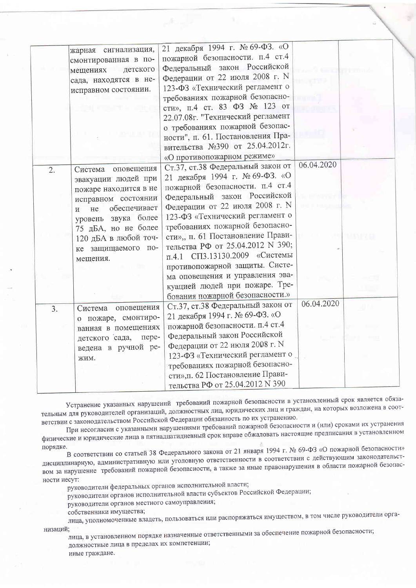|                  | жарная сигнализация,<br>смонтированная в по-<br>детского<br>мещениях<br>сада, находятся в не-<br>исправном состоянии.                                                                                                           | 21 декабря 1994 г. № 69-ФЗ. «О<br>пожарной безопасности. п.4 ст.4<br>Федеральный закон Российской<br>Федерации от 22 июля 2008 г. N<br>123-ФЗ «Технический регламент о<br>требованиях пожарной безопасно-<br>сти», п.4 ст. 83 ФЗ № 123 от<br>22.07.08г. "Технический регламент<br>о требованиях пожарной безопас-<br>ности", п. 61. Постановления Пра-<br>вительства №390 от 25.04.2012г.                                                                                                                                       |            |  |
|------------------|---------------------------------------------------------------------------------------------------------------------------------------------------------------------------------------------------------------------------------|---------------------------------------------------------------------------------------------------------------------------------------------------------------------------------------------------------------------------------------------------------------------------------------------------------------------------------------------------------------------------------------------------------------------------------------------------------------------------------------------------------------------------------|------------|--|
| $\overline{2}$ . | оповещения<br>Система<br>эвакуации людей при<br>пожаре находится в не<br>исправном состоянии<br>обеспечивает<br>He<br>И<br>уровень звука более<br>75 дБА, но не более<br>120 дБА в любой точ-<br>ке защищаемого по-<br>мещения. | «О противопожарном режиме»<br>Ст.37, ст.38 Федеральный закон от<br>21 декабря 1994 г. № 69-ФЗ. «О<br>пожарной безопасности. п.4 ст.4<br>Федеральный закон Российской<br>Федерации от 22 июля 2008 г. N<br>123-ФЗ «Технический регламент о<br>требованиях пожарной безопасно-<br>сти», п. 61 Постановление Прави-<br>тельства РФ от 25.04.2012 N 390;<br>п.4.1 СП3.13130.2009 «Системы<br>противопожарной защиты. Систе-<br>ма оповещения и управления эва-<br>куацией людей при пожаре. Тре-<br>бования пожарной безопасности.» | 06.04.2020 |  |
| $\overline{3}$ . | оповещения<br>Система<br>о пожаре, смонтиро-<br>ванная в помещениях<br>пере-<br>детского сада,<br>ведена в ручной ре-<br>жим.                                                                                                   | Ст.37, ст.38 Федеральный закон от<br>21 декабря 1994 г. № 69-ФЗ. «О<br>пожарной безопасности. п.4 ст.4<br>Федеральный закон Российской<br>Федерации от 22 июля 2008 г. N<br>123-ФЗ «Технический регламент о<br>требованиях пожарной безопасно-<br>сти», п. 62 Постановление Прави-<br>тельства РФ от 25.04.2012 N 390                                                                                                                                                                                                           | 06.04.2020 |  |

Устранение указанных нарушений требований пожарной безопасности в установленный срок является обязательным для руководителей организаций, должностных лиц, юридических лиц и граждан, на которых возложена в соответствии с законодательством Российской Федерации обязанность по их устранению.

При несогласии с указанными нарушениями требований пожарной безопасности и (или) сроками их устранения физические и юридические лица в пятнадцатидневный срок вправе обжаловать настоящие предписания в установленном порядке.

В соответствии со статьей 38 Федерального закона от 21 января 1994 г. № 69-ФЗ «О пожарной безопасности» дисциплинарную, административную или уголовную ответственности в соответствии с действующим законодательством за нарушение требований пожарной безопасности, а также за иные правонарушения в области пожарной безопасности несут:

руководители федеральных органов исполнительной власти;

руководители органов исполнительной власти субъектов Российской Федерации;

руководители органов местного самоуправления;

собственники имущества;

лица, уполномоченные владеть, пользоваться или распоряжаться имуществом, в том числе руководители орга-

низаций;

лица, в установленном порядке назначенные ответственными за обеспечение пожарной безопасности; должностные лица в пределах их компетенции; иные граждане.